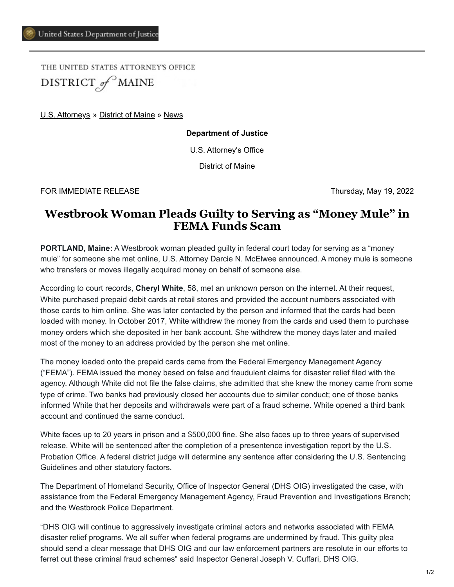THE UNITED STATES ATTORNEY'S OFFICE DISTRICT of MAINE

[U.S. Attorneys](https://www.justice.gov/usao) » [District of Maine](https://www.justice.gov/usao-me) » [News](https://www.justice.gov/usao-me/pr)

**Department of Justice**

U.S. Attorney's Office

District of Maine

FOR IMMEDIATE RELEASE Thursday, May 19, 2022

## **Westbrook Woman Pleads Guilty to Serving as "Money Mule" in FEMA Funds Scam**

**PORTLAND, Maine:** A Westbrook woman pleaded guilty in federal court today for serving as a "money mule" for someone she met online, U.S. Attorney Darcie N. McElwee announced. A money mule is someone who transfers or moves illegally acquired money on behalf of someone else.

According to court records, **Cheryl White**, 58, met an unknown person on the internet. At their request, White purchased prepaid debit cards at retail stores and provided the account numbers associated with those cards to him online. She was later contacted by the person and informed that the cards had been loaded with money. In October 2017, White withdrew the money from the cards and used them to purchase money orders which she deposited in her bank account. She withdrew the money days later and mailed most of the money to an address provided by the person she met online.

The money loaded onto the prepaid cards came from the Federal Emergency Management Agency ("FEMA"). FEMA issued the money based on false and fraudulent claims for disaster relief filed with the agency. Although White did not file the false claims, she admitted that she knew the money came from some type of crime. Two banks had previously closed her accounts due to similar conduct; one of those banks informed White that her deposits and withdrawals were part of a fraud scheme. White opened a third bank account and continued the same conduct.

White faces up to 20 years in prison and a \$500,000 fine. She also faces up to three years of supervised release. White will be sentenced after the completion of a presentence investigation report by the U.S. Probation Office. A federal district judge will determine any sentence after considering the U.S. Sentencing Guidelines and other statutory factors.

The Department of Homeland Security, Office of Inspector General (DHS OIG) investigated the case, with assistance from the Federal Emergency Management Agency, Fraud Prevention and Investigations Branch; and the Westbrook Police Department.

"DHS OIG will continue to aggressively investigate criminal actors and networks associated with FEMA disaster relief programs. We all suffer when federal programs are undermined by fraud. This guilty plea should send a clear message that DHS OIG and our law enforcement partners are resolute in our efforts to ferret out these criminal fraud schemes" said Inspector General Joseph V. Cuffari, DHS OIG.